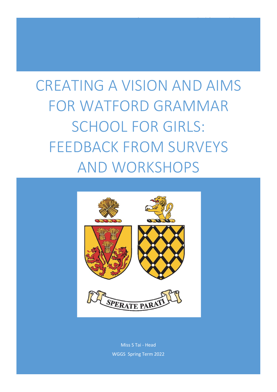# CREATING A VISION AND AIMS FOR WATFORD GRAMMAR SCHOOL FOR GIRLS: FEEDBACK FROM SURVEYS AND WORKSHOPS

 $\mathcal{M}_{\mathcal{S}}$  and  $\mathcal{M}_{\mathcal{S}}$  for  $\mathcal{M}_{\mathcal{S}}$  for  $\mathcal{M}_{\mathcal{S}}$  for  $\mathcal{M}_{\mathcal{S}}$  for  $\mathcal{M}_{\mathcal{S}}$  for  $\mathcal{M}_{\mathcal{S}}$ 



Miss S Tai - Head WGGS Spring Term 2022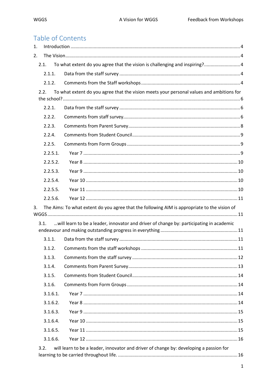# Table of Contents

| 1. |          |                                                                                              |  |
|----|----------|----------------------------------------------------------------------------------------------|--|
| 2. |          |                                                                                              |  |
|    | 2.1.     | To what extent do you agree that the vision is challenging and inspiring? 4                  |  |
|    | 2.1.1.   |                                                                                              |  |
|    | 2.1.2.   |                                                                                              |  |
|    | 2.2.     | To what extent do you agree that the vision meets your personal values and ambitions for     |  |
|    |          |                                                                                              |  |
|    | 2.2.1.   |                                                                                              |  |
|    | 2.2.2.   |                                                                                              |  |
|    | 2.2.3.   |                                                                                              |  |
|    | 2.2.4.   |                                                                                              |  |
|    | 2.2.5.   |                                                                                              |  |
|    | 2.2.5.1. |                                                                                              |  |
|    | 2.2.5.2. |                                                                                              |  |
|    | 2.2.5.3. |                                                                                              |  |
|    | 2.2.5.4. |                                                                                              |  |
|    | 2.2.5.5. |                                                                                              |  |
|    | 2.2.5.6. |                                                                                              |  |
| 3. |          | The Aims: To what extent do you agree that the following AIM is appropriate to the vision of |  |
|    |          |                                                                                              |  |
|    | 3.1.     | will learn to be a leader, innovator and driver of change by: participating in academic      |  |
|    |          |                                                                                              |  |
|    | 3.1.1.   |                                                                                              |  |
|    | 3.1.2.   |                                                                                              |  |
|    | 3.1.3.   |                                                                                              |  |
|    | 3.1.4.   |                                                                                              |  |
|    | 3.1.5.   |                                                                                              |  |
|    | 3.1.6.   |                                                                                              |  |
|    | 3.1.6.1. |                                                                                              |  |
|    | 3.1.6.2. |                                                                                              |  |
|    | 3.1.6.3. |                                                                                              |  |
|    | 3.1.6.4. |                                                                                              |  |
|    | 3.1.6.5. |                                                                                              |  |
|    | 3.1.6.6. |                                                                                              |  |
|    | 3.2.     | will learn to be a leader, innovator and driver of change by: developing a passion for       |  |
|    |          |                                                                                              |  |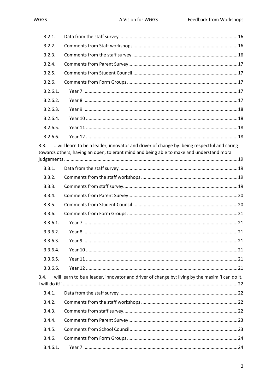| 3.2.1.   |                                                                                                                                                                                        |  |
|----------|----------------------------------------------------------------------------------------------------------------------------------------------------------------------------------------|--|
| 3.2.2.   |                                                                                                                                                                                        |  |
| 3.2.3.   |                                                                                                                                                                                        |  |
| 3.2.4.   |                                                                                                                                                                                        |  |
| 3.2.5.   |                                                                                                                                                                                        |  |
| 3.2.6.   |                                                                                                                                                                                        |  |
| 3.2.6.1. |                                                                                                                                                                                        |  |
| 3.2.6.2. |                                                                                                                                                                                        |  |
| 3.2.6.3. |                                                                                                                                                                                        |  |
| 3.2.6.4. |                                                                                                                                                                                        |  |
| 3.2.6.5. |                                                                                                                                                                                        |  |
| 3.2.6.6. |                                                                                                                                                                                        |  |
| 3.3.     | will learn to be a leader, innovator and driver of change by: being respectful and caring<br>towards others, having an open, tolerant mind and being able to make and understand moral |  |
| 3.3.1.   |                                                                                                                                                                                        |  |
| 3.3.2.   |                                                                                                                                                                                        |  |
| 3.3.3.   |                                                                                                                                                                                        |  |
| 3.3.4.   |                                                                                                                                                                                        |  |
| 3.3.5.   |                                                                                                                                                                                        |  |
| 3.3.6.   |                                                                                                                                                                                        |  |
| 3.3.6.1. |                                                                                                                                                                                        |  |
| 3.3.6.2. |                                                                                                                                                                                        |  |
| 3.3.6.3. |                                                                                                                                                                                        |  |
| 3.3.6.4. |                                                                                                                                                                                        |  |
| 3.3.6.5. |                                                                                                                                                                                        |  |
| 3.3.6.6. |                                                                                                                                                                                        |  |
| 3.4.     | will learn to be a leader, innovator and driver of change by: living by the maxim 'I can do it,                                                                                        |  |
| 3.4.1.   |                                                                                                                                                                                        |  |
| 3.4.2.   |                                                                                                                                                                                        |  |
| 3.4.3.   |                                                                                                                                                                                        |  |
| 3.4.4.   |                                                                                                                                                                                        |  |
| 3.4.5.   |                                                                                                                                                                                        |  |
| 3.4.6.   |                                                                                                                                                                                        |  |
| 3.4.6.1. |                                                                                                                                                                                        |  |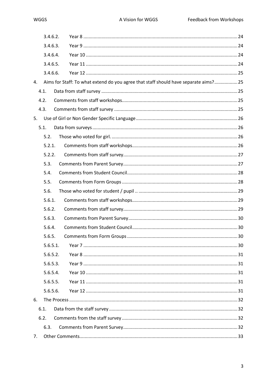|    | 3.4.6.2. |                                                                                      |  |
|----|----------|--------------------------------------------------------------------------------------|--|
|    | 3.4.6.3. |                                                                                      |  |
|    | 3.4.6.4. |                                                                                      |  |
|    | 3.4.6.5. |                                                                                      |  |
|    | 3.4.6.6. |                                                                                      |  |
| 4. |          | Aims for Staff: To what extend do you agree that staff should have separate aims? 25 |  |
|    | 4.1.     |                                                                                      |  |
|    | 4.2.     |                                                                                      |  |
|    | 4.3.     |                                                                                      |  |
| 5. |          |                                                                                      |  |
|    | 5.1.     |                                                                                      |  |
|    | 5.2.     |                                                                                      |  |
|    | 5.2.1.   |                                                                                      |  |
|    | 5.2.2.   |                                                                                      |  |
|    | 5.3.     |                                                                                      |  |
|    | 5.4.     |                                                                                      |  |
|    | 5.5.     |                                                                                      |  |
|    | 5.6.     |                                                                                      |  |
|    | 5.6.1.   |                                                                                      |  |
|    | 5.6.2.   |                                                                                      |  |
|    | 5.6.3.   |                                                                                      |  |
|    | 5.6.4.   |                                                                                      |  |
|    | 5.6.5.   |                                                                                      |  |
|    | 5.6.5.1. |                                                                                      |  |
|    | 5.6.5.2. |                                                                                      |  |
|    | 5.6.5.3. |                                                                                      |  |
|    | 5.6.5.4. |                                                                                      |  |
|    | 5.6.5.5. |                                                                                      |  |
|    | 5.6.5.6. |                                                                                      |  |
| 6. |          |                                                                                      |  |
|    | 6.1.     |                                                                                      |  |
|    | 6.2.     |                                                                                      |  |
|    | 6.3.     |                                                                                      |  |
| 7. |          |                                                                                      |  |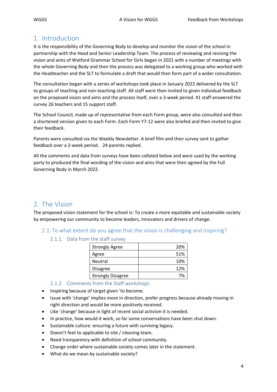# <span id="page-4-0"></span>1. Introduction

It is the responsibility of the Governing Body to develop and monitor the vision of the school in partnership with the Head and Senior Leadership Team. The process of reviewing and revising the vision and aims of Watford Grammar School for Girls began in 2021 with a number of meetings with the whole Governing Body and then the process was delegated to a working group who worked with the Headteacher and the SLT to formulate a draft that would then form part of a wider consultation.

The consultation began with a series of workshops took place in January 2022 delivered by the SLT to groups of teaching and non-teaching staff. All staff were then invited to given individual feedback on the proposed vision and aims and the process itself, over a 3-week period. 41 staff answered the survey 26 teachers and 15 support staff.

The School Council, made up of representative from each Form group, were also consulted and then a shortened version given to each Form. Each Form Y7-12 were also briefed and then invited to give their feedback.

Parents were consulted via the Weekly Newsletter. A brief film and then survey sent to gather feedback over a 2-week period. 24 parents replied.

All the comments and data from surveys have been collated below and were used by the working party to produced the final wording of the vision and aims that were then agreed by the Full Governing Body in March 2022.

# <span id="page-4-1"></span>2. The Vision

The proposed vision statement for the school is: To create a more equitable and sustainable society by empowering our community to become leaders, innovators and drivers of change.

- <span id="page-4-3"></span><span id="page-4-2"></span>2.1. To what extent do you agree that the vision is challenging and inspiring?
	- 2.1.1. Data from the staff survey

| <b>Strongly Agree</b>    | 20% |
|--------------------------|-----|
| Agree                    | 51% |
| Neutral                  | 10% |
| <b>Disagree</b>          | 12% |
| <b>Strongly Disagree</b> | 7%  |

- 2.1.2. Comments from the Staff workshops
- <span id="page-4-4"></span>• Inspiring because of target given 'to become.
- Issue with 'change' implies more in direction, prefer progress because already moving in right direction and would be more positively received.
- Like 'change' because in light of recent social activism it is needed.
- In practice, how would it work, so far some conversations have been shut down.
- Sustainable culture: ensuring a future with surviving legacy.
- Doesn't feet to applicable to site / cleaning team.
- Need transparency with definition of school community.
- Change order where sustainable society comes later in the statement.
- What do we mean by sustainable society?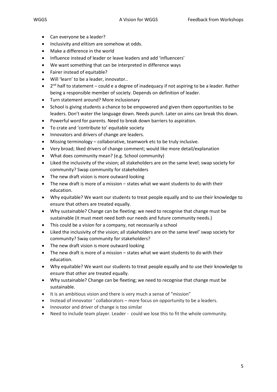- Can everyone be a leader?
- Inclusivity and elitism are somehow at odds.
- Make a difference in the world
- Influence instead of leader or leave leaders and add 'influencers'
- We want something that can be interpreted in difference ways
- Fairer instead of equitable?
- Will 'learn' to be a leader, innovator..
- $\bullet$  $2<sup>nd</sup>$  half to statement – could e a degree of inadequacy if not aspiring to be a leader. Rather being a responsible member of society. Depends on definition of leader.
- Turn statement around? More inclusionary
- School is giving students a chance to be empowered and given them opportunities to be leaders. Don't water the language down. Needs punch. Later on aims can break this down.
- Powerful word for parents. Need to break down barriers to aspiration.
- To crate and 'contribute to' equitable society
- Innovators and drivers of change are leaders.
- Missing terminology collaborative, teamwork etc to be truly inclusive.
- Very broad; liked drivers of change comment; would like more detail/explanation
- What does community mean? (e.g. School community)
- Liked the inclusivity of the vision; all stakeholders are on the same level; swap society for community? Swap community for stakeholders
- The new draft vision is more outward looking
- The new draft is more of a mission states what we want students to do with their education.
- Why equitable? We want our students to treat people equally and to use their knowledge to ensure that others are treated equally.
- Why sustainable? Change can be fleeting: we need to recognise that change must be sustainable (it must meet need both our needs and future community needs.)
- This could be a vision for a company, not necessarily a school
- Liked the inclusivity of the vision; all stakeholders are on the same level' swap society for community? Sway community for stakeholders?
- The new draft vision is more outward looking
- The new draft is more of a mission states what we want students to do with their education.
- Why equitable? We want our students to treat people equally and to use their knowledge to ensure that other are treated equally.
- Why sustainable? Change can be fleeting; we need to recognise that change must be sustainable.
- It is an ambitious vision and there is very much a sense of "mission"
- Instead of innovator ' collaborators more focus on opportunity to be a leaders.
- Innovator and driver of change is too similar
- Need to include team player. Leader could we lose this to fit the whole community.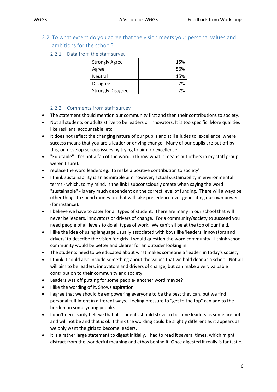- <span id="page-6-1"></span><span id="page-6-0"></span>2.2. To what extent do you agree that the vision meets your personal values and ambitions for the school?
	- 2.2.1. Data from the staff survey

| <b>Strongly Agree</b>    | 15% |
|--------------------------|-----|
| Agree                    | 56% |
| <b>Neutral</b>           | 15% |
| <b>Disagree</b>          | 7%  |
| <b>Strongly Disagree</b> | 7%  |

#### 2.2.2. Comments from staff survey

- <span id="page-6-2"></span>• The statement should mention our community first and then their contributions to society.
- Not all students or adults strive to be leaders or innovators. It is too specific. More qualities like resilient, accountable, etc
- It does not reflect the changing nature of our pupils and still alludes to 'excellence' where success means that you are a leader or driving change. Many of our pupils are put off by this, or develop serious issues by trying to aim for excellence.
- "Equitable" I'm not a fan of the word. (I know what it means but others in my staff group weren't sure).
- replace the word leaders eg. 'to make a positive contribution to society'
- I think sustainability is an admirable aim however, actual sustainability in environmental terms - which, to my mind, is the link I subconsciously create when saying the word "sustainable" - is very much dependent on the correct level of funding. There will always be other things to spend money on that will take precedence over generating our own power (for instance).
- I believe we have to cater for all types of student. There are many in our school that will never be leaders, innovators or drivers of change. For a community/society to succeed you need people of all levels to do all types of work. We can't all be at the top of our field.
- I like the idea of using language usually associated with boys like 'leaders, innovators and drivers' to describe the vision for girls. I would question the word community - I think school community would be better and clearer for an outsider looking in.
- The students need to be educated about what makes someone a 'leader' in today's society.
- I think it could also include something about the values that we hold dear as a school. Not all will aim to be leaders, innovators and drivers of change, but can make a very valuable contribution to their community and society.
- Leaders was off putting for some people- another word maybe?
- I like the wording of it. Shows aspiration.
- I agree that we should be empowering everyone to be the best they can, but we find personal fulfilment in different ways. Feeling pressure to "get to the top" can add to the burden on some young people.
- I don't necessarily believe that all students should strive to become leaders as some are not and will not be and that is ok. I think the wording could be slightly different as it appears as we only want the girls to become leaders.
- It is a rather large statement to digest initially, I had to read it several times, which might distract from the wonderful meaning and ethos behind it. Once digested it really is fantastic.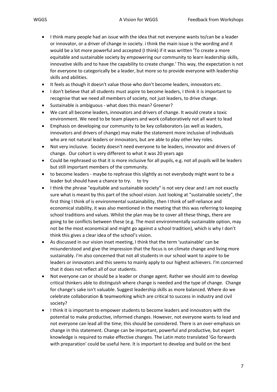- I think many people had an issue with the idea that not everyone wants to/can be a leader or innovator, or a driver of change in society. i think the main issue is the wording and it would be a lot more powerful and accepted (I think) if it was written 'To create a more equitable and sustainable society by empowering our community to learn leadership skills, innovative skills and to have the capability to create change.' This way, the expectation is not for everyone to categorically be a leader, but more so to provide everyone with leadership skills and abilities.
- It feels as though it doesn't value those who don't become leaders, innovators etc.
- I don't believe that all students must aspire to become leaders, I think it is important to recognise that we need all members of society, not just leaders, to drive change.
- Sustainable is ambiguous what does this mean? Greener?
- We cant all become leaders, innovators and drivers of change. It would create a toxic environment. We need to be team players and work collaboratively not all want to lead
- Emphasis on developing our community to be key collaborators (as well as leaders, innovators and drivers of change) may make the statement more inclusive of individuals who are not natural leaders or innovators, but are able to play other key roles.
- Not very inclusive. Society doesn't need everyone to be leaders, innovator and drivers of change. Our cohort is very different to what it was 20 years ago
- Could be rephrased so that it is more inclusive for all pupils, e.g. not all pupils will be leaders but still important members of the community.
- to become leaders maybe to rephrase this slightly as not everybody might want to be a leader but should have a chance to try. to try
- I think the phrase "equitable and sustainable society" is not very clear and I am not exactly sure what is meant by this part of the school vision. Just looking at "sustainable society", the first thing I think of is environmental sustainability, then I think of self-reliance and economical stability, it was also mentioned in the meeting that this was referring to keeping school traditions and values. Whilst the plan may be to cover all these things, there are going to be conflicts between these (e.g. The most environmentally sustainable option, may not be the most economical and might go against a school tradition), which is why I don't think this gives a clear idea of the school's vision.
- As discussed in our vision inset meeting, I think that the term 'sustainable' can be misunderstood and give the impression that the focus is on climate change and living more sustainably. I'm also concerned that not all students in our school want to aspire to be leaders or innovators and this seems to mainly apply to our highest achievers. I'm concerned that it does not reflect all of our students.
- Not everyone can or should be a leader or change agent. Rather we should aim to develop critical thinkers able to distinguish where change is needed and the type of change. Change for change's sake isn't valuable. Suggest leadership skills as more balanced. Where do we celebrate collaboration & teamworking which are critical to success in industry and civil society?
- I think it is important to empower students to become leaders and innovators with the potential to make productive, informed changes. However, not everyone wants to lead and not everyone can lead all the time; this should be considered. There is an over-emphasis on change in this statement. Change can be important, powerful and productive, but expert knowledge is required to make effective changes. The Latin moto translated 'Go forwards with preparation' could be useful here. It is important to develop and build on the best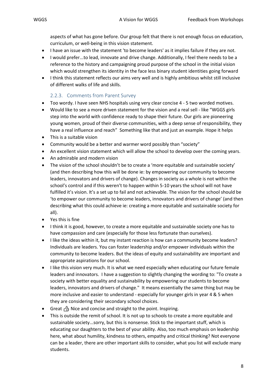aspects of what has gone before. Our group felt that there is not enough focus on education, curriculum, or well-being in this vision statement.

- I have an issue with the statement 'to become leaders' as it implies failure if they are not.
- I would prefer...to lead, innovate and drive change. Additionally, I feel there needs to be a reference to the history and campaigning proud purpose of the school in the initial vision which would strengthen its identity in the face less binary student identities going forward
- I think this statement reflects our aims very well and is highly ambitious whilst still inclusive of different walks of life and skills.

#### 2.2.3. Comments from Parent Survey

- <span id="page-8-0"></span>• Too wordy. I have seen NHS hospitals using very clear concise 4 - 5 two worded motives.
- Would like to see a more driven statement for the vision and a real sell like "WGGS girls step into the world with confidence ready to shape their future. Our girls are pioneering young women, proud of their diverse communities, with a deep sense of responsibility, they have a real influence and reach" Something like that and just an example. Hope it helps
- This is a suitable vision
- Community would be a better and warmer word possibly than "society"
- An excellent vision statement which will allow the school to develop over the coming years.
- An admirable and modern vision
- The vision of the school shouldn't be to create a 'more equitable and sustainable society' (and then describing how this will be done ie: by empowering our community to become leaders, innovators and drivers of change). Changes in society as a whole is not within the school's control and if this weren't to happen within 5-10 years the school will not have fulfilled it's vision. It's a set up to fail and not achievable. The vision for the school should be 'to empower our community to become leaders, innovators and drivers of change' (and then describing what this could achieve ie: creating a more equitable and sustainable society for all).
- Yes this is fine
- I think it is good, however, to create a more equitable and sustainable society one has to have compassion and care (especially for those less fortunate than ourselves).
- I like the ideas within it, but my instant reaction is how can a community become leaders? Individuals are leaders. You can foster leadership and/or empower individuals within the community to become leaders. But the ideas of equity and sustainability are important and appropriate aspirations for our school.
- I like this vision very much. It is what we need especially when educating our future female leaders and innovators. I have a suggestion to slightly changing the wording to: "To create a society with better equality and sustainability by empowering our students to become leaders, innovators and drivers of change." It means essentially the same thing but may be more inclusive and easier to understand - especially for younger girls in year 4 & 5 when they are considering their secondary school choices.
- Great  $\triangle$  Nice and concise and straight to the point. Inspiring.
- This is outside the remit of school. It is not up to schools to create a more equitable and sustainable society...sorry, but this is nonsense. Stick to the important stuff, which is educating our daughters to the best of your ability. Also, too much emphasis on leadership here, what about humility, kindness to others, empathy and critical thinking? Not everyone can be a leader, there are other important skills to consider, what you list will exclude many students.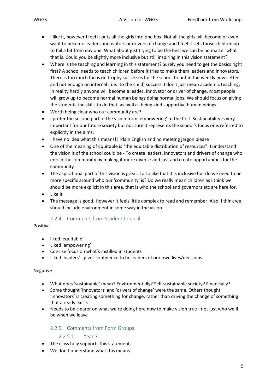- I like it, however I feel it puts all the girls into one box. Not all the girls will become or even want to become leaders, innovators or drivers of change and I feel it sets those children up to fail a bit from day one. What about just trying to be the best we can be no matter what that is. Could you be slightly more inclusive but still inspiring in this vision statement?
- Where is the teaching and learning in this statement? Surely you need to get the basics right first? A school needs to teach children before it tries to make them leaders and innovators. There is too much focus on trophy successes for the school to put in the weekly newsletter and not enough on internal ( i.e. to the child) success. I don't just mean academic teaching. In reality hardly anyone will become a leader, innovator or driver of change. Most people will grow up to become normal human beings doing normal jobs. We should focus on giving the students the skills to do that, as well as being kind supportive human beings.
- Worth being clear who our community are?
- I prefer the second part of the vision from 'empowering' to the first. Sustainability is very important for our future society but not sure it represents the school's focus or is referred to explicitly in the aims.
- I have no idea what this means!! Plain English and no meeting jargon please
- One of the meaning of Equitable is "the equitable distribution of resources". I understand the vision is of the school could be - To create leaders, innovators and drivers of change who enrich the community by making it more diverse and just and create opportunities for the community
- The aspirational part of this vision is great. I also like that it is inclusive but do we need to be more specific around who our 'community' is? Do we really mean children as I think we should be more explicit in this area, that is who the school and governors etc are here for.
- Like it
- The message is good. However it feels little complex to read and remember. Also, I think we should include environment in some way in the vision.

#### 2.2.4. Comments from Student Council

#### <span id="page-9-0"></span>Positive

- liked 'equitable'
- Liked 'empowering'
- Concise focus on what's instilled in students
- Liked 'leaders' gives confidence to be leaders of our own lives/decisions

#### Negative

- What does 'sustainable' mean? Environmentally? Self-sustainable society? Financially?
- Some thought 'innovators' and 'drivers of change' were the same. Others thought 'innovators' is creating something for change, rather than driving the change of something that already exists
- Needs to be clearer on what we're doing here now to make vision true not just who we'll be when we leave

#### <span id="page-9-1"></span>2.2.5. Comments from Form Groups

#### 2.2.5.1. Year 7

- <span id="page-9-2"></span>• The class fully supports this statement.
- We don't understand what this means.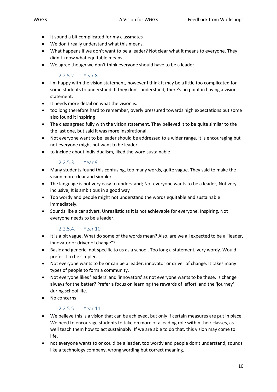- It sound a bit complicated for my classmates
- We don't really understand what this means.
- What happens if we don't want to be a leader? Not clear what it means to everyone. They didn't know what equitable means.
- We agree though we don't think everyone should have to be a leader

#### 2.2.5.2. Year 8

- <span id="page-10-0"></span>• I'm happy with the vision statement, however I think it may be a little too complicated for some students to understand. If they don't understand, there's no point in having a vision statement.
- It needs more detail on what the vision is.
- too long therefore hard to remember, overly pressured towards high expectations but some also found it inspiring
- The class agreed fully with the vision statement. They believed it to be quite similar to the the last one, but said it was more inspirational.
- Not everyone want to be leader should be addressed to a wider range. It is encouraging but not everyone might not want to be leader.
- to include about individualism, liked the word sustainable

#### 2.2.5.3. Year 9

- <span id="page-10-1"></span>• Many students found this confusing, too many words, quite vague. They said to make the vision more clear and simpler.
- The language is not very easy to understand; Not everyone wants to be a leader; Not very inclusive; It is ambitious in a good way
- Too wordy and people might not understand the words equitable and sustainable immediately.
- Sounds like a car advert. Unrealistic as it is not achievable for everyone. Inspiring. Not everyone needs to be a leader.

#### 2.2.5.4. Year 10

- <span id="page-10-2"></span>• It is a bit vague. What do some of the words mean? Also, are we all expected to be a "leader, innovator or driver of change"?
- Basic and generic, not specific to us as a school. Too long a statement, very wordy. Would prefer it to be simpler.
- Not everyone wants to be or can be a leader, innovator or driver of change. It takes many types of people to form a community.
- Not everyone likes 'leaders' and 'innovators' as not everyone wants to be these. Is change always for the better? Prefer a focus on learning the rewards of 'effort' and the 'journey' during school life.
- No concerns

#### 2.2.5.5. Year 11

- <span id="page-10-3"></span>• We believe this is a vision that can be achieved, but only if certain measures are put in place. We need to encourage students to take on more of a leading role within their classes, as well teach them how to act sustainably. If we are able to do that, this vision may come to life.
- not everyone wants to or could be a leader, too wordy and people don't understand, sounds like a technology company, wrong wording but correct meaning.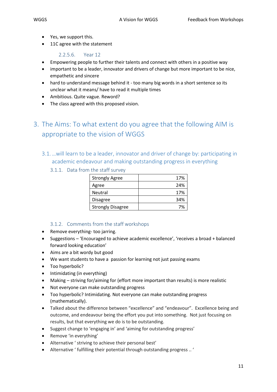- Yes, we support this.
- 11C agree with the statement

#### 2.2.5.6. Year 12

- <span id="page-11-0"></span>• Empowering people to further their talents and connect with others in a positive way
- important to be a leader, innovator and drivers of change but more important to be nice, empathetic and sincere
- hard to understand message behind it too many big words in a short sentence so its unclear what it means/ have to read it multiple times
- Ambitious. Quite vague. Reword?
- The class agreed with this proposed vision.

# <span id="page-11-1"></span>3. The Aims: To what extent do you agree that the following AIM is appropriate to the vision of WGGS

- <span id="page-11-3"></span><span id="page-11-2"></span>3.1.…will learn to be a leader, innovator and driver of change by: participating in academic endeavour and making outstanding progress in everything
	- 3.1.1. Data from the staff survey

| <b>Strongly Agree</b>    | 17% |
|--------------------------|-----|
| Agree                    | 24% |
| <b>Neutral</b>           | 17% |
| <b>Disagree</b>          | 34% |
| <b>Strongly Disagree</b> | 7%  |

#### 3.1.2. Comments from the staff workshops

- <span id="page-11-4"></span>• Remove everything- too jarring.
- Suggestions 'Encouraged to achieve academic excellence', 'receives a broad + balanced forward looking education'
- Aims are a bit wordy but good
- We want students to have a passion for learning not just passing exams
- Too hyperbolic?
- Intimidating (in everything)
- Making striving for/aiming for (effort more important than results) is more realistic
- Not everyone can make outstanding progress
- Too hyperbolic? Intimidating. Not everyone can make outstanding progress (mathematically).
- Talked about the difference between "excellence" and "endeavour". Excellence being and outcome, and endeavour being the effort you put into something. Not just focusing on results, but that everything we do is to be outstanding.
- Suggest change to 'engaging in' and 'aiming for outstanding progress'
- Remove 'in everything'
- Alternative ' striving to achieve their personal best'
- Alternative ' fulfilling their potential through outstanding progress .. '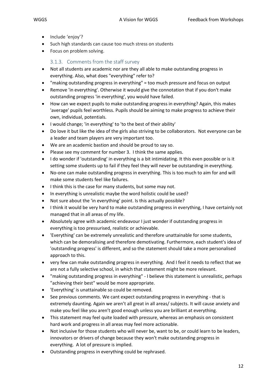- Include 'enjoy'?
- Such high standards can cause too much stress on students
- Focus on problem solving.

### 3.1.3. Comments from the staff survey

- <span id="page-12-0"></span>• Not all students are academic nor are they all able to make outstanding progress in everything. Also, what does "everything" refer to?
- "making outstanding progress in everything" = too much pressure and focus on output
- Remove 'in everything'. Otherwise it would give the connotation that if you don't make outstanding progress 'in everything', you would have failed.
- How can we expect pupils to make outstanding progress in everything? Again, this makes 'average' pupils feel worthless. Pupils should be aiming to make progress to achieve their own, individual, potentials.
- I would change; 'in everything' to 'to the best of their ability'
- Do love it but like the idea of the girls also striving to be collaborators. Not everyone can be a leader and team players are very important too.
- We are an academic bastion and should be proud to say so.
- Please see my comment for number 3. I think the same applies.
- I do wonder if 'outstanding' in everything is a bit intimidating. It this even possible or is it setting some students up to fail if they feel they will never be outstanding in everything.
- No-one can make outstanding progress in everything. This is too much to aim for and will make some students feel like failures.
- I think this is the case for many students, but some may not.
- In everything is unrealistic maybe the word holistic could be used?
- Not sure about the 'in everything' point. Is this actually possible?
- I think it would be very hard to make outstanding progress in everything, I have certainly not managed that in all areas of my life.
- Absolutely agree with academic endeavour I just wonder if outstanding progress in everything is too pressurised, realistic or achievable.
- 'Everything' can be extremely unrealistic and therefore unattainable for some students, which can be demoralising and therefore demotivating. Furthermore, each student's idea of 'outstanding progress' is different, and so the statement should take a more personalised approach to this.
- very few can make outstanding progress in everything. And I feel it needs to reflect that we are not a fully selective school, in which that statement might be more relevant.
- "making outstanding progress in everything" I believe this statement is unrealistic, perhaps "achieving their best" would be more appropriate.
- 'Everything' is unattainable so could be removed.
- See previous comments. We cant expect outstanding progress in everything that is extremely daunting. Again we aren't all great in all areas/ subjects. It will cause anxiety and make you feel like you aren't good enough unless you are brilliant at everything.
- This statement may feel quite loaded with pressure, whereas an emphasis on consistent hard work and progress in all areas may feel more actionable.
- Not inclusive for those students who will never be, want to be, or could learn to be leaders, innovators or drivers of change because they won't make outstanding progress in everything. A lot of pressure is implied.
- Outstanding progress in everything could be rephrased.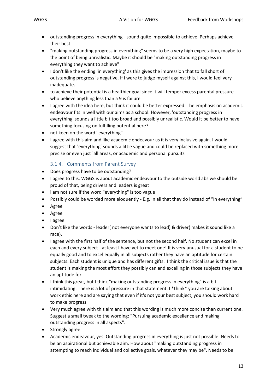- outstanding progress in everything sound quite impossible to achieve. Perhaps achieve their best
- "making outstanding progress in everything" seems to be a very high expectation, maybe to the point of being unrealistic. Maybe it should be "making outstanding progress in everything they want to achieve"
- I don't like the ending 'in everything' as this gives the impression that to fall short of outstanding progress is negative. If i were to judge myself against this, I would feel very inadequate.
- to achieve their potential is a healthier goal since it will temper excess parental pressure who believe anything less than a 9 is failure
- I agree with the idea here, but think it could be better expressed. The emphasis on academic endeavour fits in well with our aims as a school. However, 'outstanding progress in everything' sounds a little bit too broad and possibly unrealistic. Would it be better to have something focusing on fulfilling potential here?
- not keen on the word "everything"
- I agree with this aim and like academic endeavour as it is very inclusive again. I would suggest that ´everything' sounds a little vague and could be replaced with something more precise or even just ´all areas, or academic and personal pursuits

### 3.1.4. Comments from Parent Survey

- <span id="page-13-0"></span>• Does progress have to be outstanding?
- I agree to this. WGGS is about academic endeavour to the outside world abs we should be proud of that, being drivers and leaders is great
- i am not sure if the word "everything" is too vague
- Possibly could be worded more eloquently E.g. In all that they do instead of "In everything"
- Agree
- Agree
- I agree
- Don't like the words leader( not everyone wants to lead) & driver( makes it sound like a race).
- I agree with the first half of the sentence, but not the second half. No student can excel in each and every subject - at least I have yet to meet one! It is very unusual for a student to be equally good and to excel equally in all subjects rather they have an aptitude for certain subjects. Each student is unique and has different gifts. I think the critical issue is that the student is making the most effort they possibly can and excelling in those subjects they have an aptitude for.
- I think this great, but I think "making outstanding progress in everything" is a bit intimidating. There is a lot of pressure in that statement. I \*think\* you are talking about work ethic here and are saying that even if it's not your best subject, you should work hard to make progress.
- Very much agree with this aim and that this wording is much more concise than current one. Suggest a small tweak to the wording: "Pursuing academic excellence and making outstanding progress in all aspects".
- Strongly agree
- Academic endeavour, yes. Outstanding progress in everything is just not possible. Needs to be an aspirational but achievable aim. How about "making outstanding progress in attempting to reach individual and collective goals, whatever they may be". Needs to be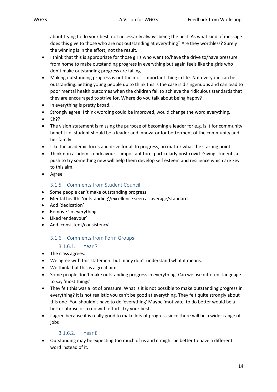about trying to do your best, not necessarily always being the best. As what kind of message does this give to those who are not outstanding at everything? Are they worthless? Surely the winning is in the effort, not the result.

- I think that this is appropriate for those girls who want to/have the drive to/have pressure from home to make outstanding progress in everything but again feels like the girls who don't make outstanding progress are failing
- Making outstanding progress is not the most important thing in life. Not everyone can be outstanding. Setting young people up to think this is the case is disingenuous and can lead to poor mental health outcomes when the children fail to achieve the ridiculous standards that they are encouraged to strive for. Where do you talk about being happy?
- In everything is pretty broad...
- Strongly agree. I think wording could be improved, would change the word everything.
- $\bullet$  Eh??
- The vision statement is missing the purpose of becoming a leader for e.g. is it for community benefit i.e. student should be a leader and innovator for betterment of the community and her family
- Like the academic focus and drive for all to progress, no matter what the starting point
- Think non academic endeavour is important too...particularly post covid. Giving students a push to try something new will help them develop self esteem and resilience which are key to this aim.
- Agree

#### 3.1.5. Comments from Student Council

- <span id="page-14-0"></span>• Some people can't make outstanding progress
- Mental health: 'outstanding'/excellence seen as average/standard
- Add 'dedication'
- Remove 'in everything'
- Liked 'endeavour'
- <span id="page-14-1"></span>• Add 'consistent/consistency'

#### 3.1.6. Comments from Form Groups

#### 3.1.6.1. Year 7

- <span id="page-14-2"></span>• The class agrees.
- We agree with this statement but many don't understand what it means.
- We think that this is a great aim
- Some people don't make outstanding progress in everything. Can we use different language to say 'most things'
- They felt this was a lot of pressure. What is it is not possible to make outstanding progress in everything? It is not realistic you can't be good at everything. They felt quite strongly about this one! You shouldn't have to do 'everything' Maybe 'motivate' to do better would be a better phrase or to do with effort. Try your best.
- I agree because it is really good to make lots of progress since there will be a wider range of jobs

#### 3.1.6.2. Year 8

<span id="page-14-3"></span>• Outstanding may be expecting too much of us and it might be better to have a different word instead of it.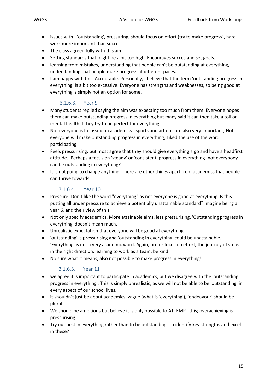- issues with 'outstanding', pressuring, should focus on effort (try to make progress), hard work more important than success
- The class agreed fully with this aim.
- Setting standards that might be a bit too high. Encourages succes and set goals.
- learning from mistakes, understanding that people can't be outstanding at everything, understanding that people make progress at different paces.
- I am happy with this. Acceptable. Personally, I believe that the term 'outstanding progress in everything' is a bit too excessive. Everyone has strengths and weaknesses, so being good at everything is simply not an option for some.

#### 3.1.6.3. Year 9

- <span id="page-15-0"></span>• Many students replied saying the aim was expecting too much from them. Everyone hopes them can make outstanding progress in everything but many said it can then take a toll on mental health if they try to be perfect for everything.
- Not everyone is focussed on academics sports and art etc. are also very important; Not everyone will make outstanding progress in everything; Liked the use of the word participating
- Feels pressurising, but most agree that they should give everything a go and have a headfirst attitude.. Perhaps a focus on 'steady' or 'consistent' progress in everything- not everybody can be outstanding in everything?
- It is not going to change anything. There are other things apart from academics that people can thrive towards.

#### 3.1.6.4. Year 10

- <span id="page-15-1"></span>• Pressure! Don't like the word "everything" as not everyone is good at everything. Is this putting all under pressure to achieve a potentially unattainable standard? Imagine being a year 6, and their view of this
- Not only specify academics. More attainable aims, less pressurising. 'Outstanding progress in everything' doesn't mean much.
- Unrealistic expectation that everyone will be good at everything
- 'outstanding' is pressurising and 'outstanding in everything' could be unattainable. 'Everything' is not a very academic word. Again, prefer focus on effort, the journey of steps in the right direction, learning to work as a team, be kind
- No sure what it means, also not possible to make progress in everything!

#### 3.1.6.5. Year 11

- <span id="page-15-2"></span>• we agree it is important to participate in academics, but we disagree with the 'outstanding progress in everything'. This is simply unrealistic, as we will not be able to be 'outstanding' in every aspect of our school lives.
- it shouldn't just be about academics, vague (what is 'everything'), 'endeavour' should be plural
- We should be ambitious but believe it is only possible to ATTEMPT this; overachieving is pressurising.
- Try our best in everything rather than to be outstanding. To identify key strengths and excel in these?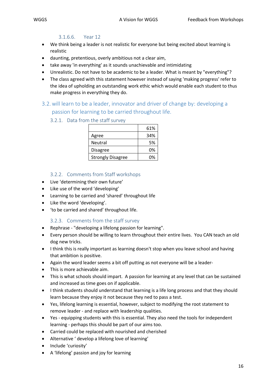#### 3.1.6.6. Year 12

- <span id="page-16-0"></span>• We think being a leader is not realistic for everyone but being excited about learning is realistic
- daunting, pretentious, overly ambitious not a clear aim,
- take away 'in everything' as it sounds unachievable and intimidating
- Unrealistic. Do not have to be academic to be a leader. What is meant by "everything"?
- The class agreed with this statement however instead of saying 'making progress' refer to the idea of upholding an outstanding work ethic which would enable each student to thus make progress in everything they do.
- <span id="page-16-2"></span><span id="page-16-1"></span>3.2.will learn to be a leader, innovator and driver of change by: developing a passion for learning to be carried throughout life.
	- 3.2.1. Data from the staff survey

|                          | 61% |
|--------------------------|-----|
| Agree                    | 34% |
| Neutral                  | 5%  |
| Disagree                 | 0%  |
| <b>Strongly Disagree</b> | በ%  |

#### 3.2.2. Comments from Staff workshops

- <span id="page-16-3"></span>• Live 'determining their own future'
- Like use of the word 'developing'
- Learning to be carried and 'shared' throughout life
- Like the word 'developing'.
- 'to be carried and shared' throughout life.

#### 3.2.3. Comments from the staff survey

- <span id="page-16-4"></span>• Rephrase - "developing a lifelong passion for learning".
- Every person should be willing to learn throughout their entire lives. You CAN teach an old dog new tricks.
- I think this is really important as learning doesn't stop when you leave school and having that ambition is positive.
- Again the word leader seems a bit off putting as not everyone will be a leader-
- This is more achievable aim.
- This is what schools should impart. A passion for learning at any level that can be sustained and increased as time goes on if applicable.
- I think students should understand that learning is a life long process and that they should learn because they enjoy it not because they ned to pass a test.
- Yes, lifelong learning is essential, however, subject to modifying the root statement to remove leader - and replace with leadership qualities.
- Yes equipping students with this is essential. They also need the tools for independent learning - perhaps this should be part of our aims too.
- Carried could be replaced with nourished and cherished
- Alternative ' develop a lifelong love of learning'
- Include 'curiosity'
- A 'lifelong' passion and joy for learning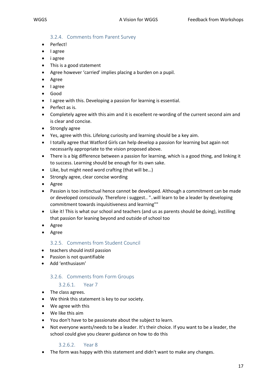#### 3.2.4. Comments from Parent Survey

- <span id="page-17-0"></span>• Perfect!
- I agree
- i agree
- This is a good statement
- Agree however 'carried' implies placing a burden on a pupil.
- Agree
- I agree
- Good
- I agree with this. Developing a passion for learning is essential.
- Perfect as is.
- Completely agree with this aim and it is excellent re-wording of the current second aim and is clear and concise.
- Strongly agree
- Yes, agree with this. Lifelong curiosity and learning should be a key aim.
- I totally agree that Watford Girls can help develop a passion for learning but again not necessarily appropriate to the vision proposed above.
- There is a big difference between a passion for learning, which is a good thing, and linking it to success. Learning should be enough for its own sake.
- Like, but might need word crafting (that will be…)
- Strongly agree, clear concise wording
- Agree
- Passion is too instinctual hence cannot be developed. Although a commitment can be made or developed consciously. Therefore i suggest.. "..will learn to be a leader by developing commitment towards inquisitiveness and learning""
- Like it! This is what our school and teachers (and us as parents should be doing), instilling that passion for leaning beyond and outside of school too
- Agree
- Agree

#### 3.2.5. Comments from Student Council

- <span id="page-17-1"></span>• teachers should instil passion
- Passion is not quantifiable
- <span id="page-17-2"></span>• Add 'enthusiasm'

#### 3.2.6. Comments from Form Groups

#### 3.2.6.1. Year 7

- <span id="page-17-3"></span>• The class agrees.
- We think this statement is key to our society.
- We agree with this
- We like this aim
- You don't have to be passionate about the subject to learn.
- Not everyone wants/needs to be a leader. It's their choice. If you want to be a leader, the school could give you clearer guidance on how to do this

#### 3.2.6.2. Year 8

<span id="page-17-4"></span>• The form was happy with this statement and didn't want to make any changes.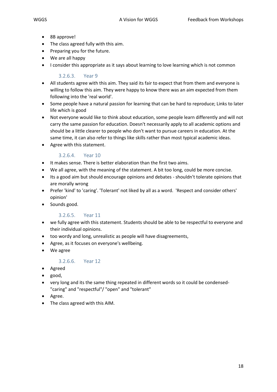- 8B approve!
- The class agreed fully with this aim.
- Preparing you for the future.
- We are all happy
- I consider this appropriate as it says about learning to love learning which is not common

#### 3.2.6.3. Year 9

- <span id="page-18-0"></span>• All students agree with this aim. They said its fair to expect that from them and everyone is willing to follow this aim. They were happy to know there was an aim expected from them following into the 'real world'.
- Some people have a natural passion for learning that can be hard to reproduce; Links to later life which is good
- Not everyone would like to think about education, some people learn differently and will not carry the same passion for education. Doesn't necessarily apply to all academic options and should be a little clearer to people who don't want to pursue careers in education. At the same time, it can also refer to things like skills rather than most typical academic ideas.
- Agree with this statement.

#### 3.2.6.4. Year 10

- <span id="page-18-1"></span>• It makes sense. There is better elaboration than the first two aims.
- We all agree, with the meaning of the statement. A bit too long, could be more concise.
- Its a good aim but should encourage opinions and debates shouldn't tolerate opinions that are morally wrong
- Prefer 'kind' to 'caring'. 'Tolerant' not liked by all as a word. 'Respect and consider others' opinion'
- Sounds good.

#### 3.2.6.5. Year 11

- <span id="page-18-2"></span>• we fully agree with this statement. Students should be able to be respectful to everyone and their individual opinions.
- too wordy and long, unrealistic as people will have disagreements,
- Agree, as it focuses on everyone's wellbeing.
- We agree

#### 3.2.6.6. Year 12

- <span id="page-18-3"></span>• Agreed
- good,
- very long and its the same thing repeated in different words so it could be condensed- "caring" and "respectful"/ "open" and "tolerant"
- Agree.
- The class agreed with this AIM.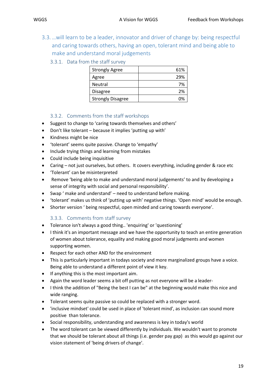- <span id="page-19-1"></span><span id="page-19-0"></span>
	- 3.3.…will learn to be a leader, innovator and driver of change by: being respectful and caring towards others, having an open, tolerant mind and being able to make and understand moral judgements
		- 3.3.1. Data from the staff survey

| <b>Strongly Agree</b>    | 61% |
|--------------------------|-----|
| Agree                    | 29% |
| Neutral                  | 7%  |
| Disagree                 | 2%  |
| <b>Strongly Disagree</b> | በ%  |

#### 3.3.2. Comments from the staff workshops

- <span id="page-19-2"></span>• Suggest to change to 'caring towards themselves and others'
- Don't like tolerant because it implies 'putting up with'
- Kindness might be nice
- 'tolerant' seems quite passive. Change to 'empathy'
- Include trying things and learning from mistakes
- Could include being inquisitive
- Caring not just ourselves, but others. It covers everything, including gender & race etc
- 'Tolerant' can be misinterpreted
- Remove 'being able to make and understand moral judgements' to and by developing a sense of integrity with social and personal responsibility'.
- Swap ' make and understand' need to understand before making.
- 'tolerant' makes us think of 'putting up with' negative things. 'Open mind' would be enough.
- Shorter version ' being respectful, open minded and caring towards everyone'.

#### 3.3.3. Comments from staff survey

- <span id="page-19-3"></span>• Tolerance isn't always a good thing.. 'enquiring' or 'questioning'
- I think it's an important message and we have the opportunity to teach an entire generation of women about tolerance, equality and making good moral judgments and women supporting women.
- Respect for each other AND for the environment
- This is particularly important in todays society and more marginalized groups have a voice. Being able to understand a different point of view it key.
- If anything this is the most important aim.
- Again the word leader seems a bit off putting as not everyone will be a leader-
- I think the addition of "Being the best I can be" at the beginning would make this nice and wide ranging.
- Tolerant seems quite passive so could be replaced with a stronger word.
- 'inclusive mindset' could be used in place of 'tolerant mind', as inclusion can sound more positive than tolerance.
- Social responsibility, understanding and awareness is key in today's world
- The word tolerant can be viewed differently by individuals. We wouldn't want to promote that we should be tolerant about all things (i.e. gender pay gap) as this would go against our vision statement of 'being drivers of change'.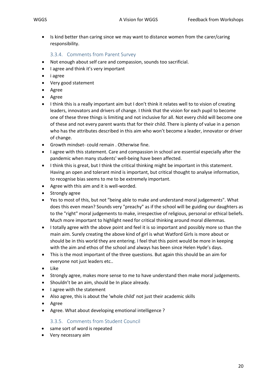• Is kind better than caring since we may want to distance women from the carer/caring responsibility.

#### 3.3.4. Comments from Parent Survey

- <span id="page-20-0"></span>• Not enough about self care and compassion, sounds too sacrificial.
- I agree and think it's very important
- i agree
- Very good statement
- Agree
- Agree
- I think this is a really important aim but I don't think it relates well to to vision of creating leaders, innovators and drivers of change. I think that the vision for each pupil to become one of these three things is limiting and not inclusive for all. Not every child will become one of these and not every parent wants that for their child. There is plenty of value in a person who has the attributes described in this aim who won't become a leader, innovator or driver of change.
- Growth mindset- could remain . Otherwise fine.
- I agree with this statement. Care and compassion in school are essential especially after the pandemic when many students' well-being have been affected.
- I think this is great, but I think the critical thinking might be important in this statement. Having an open and tolerant mind is important, but critical thought to analyse information, to recognise bias seems to me to be extremely important.
- Agree with this aim and it is well-worded.
- Strongly agree
- Yes to most of this, but not "being able to make and understand moral judgements". What does this even mean? Sounds very "preachy" as if the school will be guiding our daughters as to the "right" moral judgements to make, irrespective of religious, personal or ethical beliefs. Much more important to highlight need for critical thinking around moral dilemmas.
- I totally agree with the above point and feel it is so important and possibly more so than the main aim. Surely creating the above kind of girl is what Watford Girls is more about or should be in this world they are entering. I feel that this point would be more in keeping with the aim and ethos of the school and always has been since Helen Hyde's days.
- This is the most important of the three questions. But again this should be an aim for everyone not just leaders etc..
- Like
- Strongly agree, makes more sense to me to have understand then make moral judgements.
- Shouldn't be an aim, should be In place already.
- I agree with the statement
- Also agree, this is about the 'whole child' not just their academic skills
- Agree
- Agree. What about developing emotional intelligence ?

#### 3.3.5. Comments from Student Council

- <span id="page-20-1"></span>• same sort of word is repeated
- Very necessary aim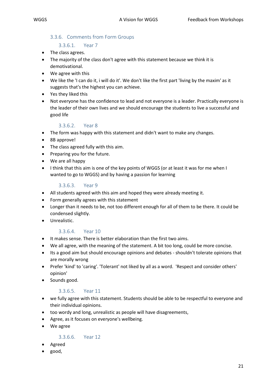#### <span id="page-21-0"></span>3.3.6. Comments from Form Groups

#### 3.3.6.1. Year 7

- <span id="page-21-1"></span>• The class agrees.
- The majority of the class don't agree with this statement because we think it is demotivational.
- We agree with this
- We like the 'I can do it, i will do it'. We don't like the first part 'living by the maxim' as it suggests that's the highest you can achieve.
- Yes they liked this
- Not everyone has the confidence to lead and not everyone is a leader. Practically everyone is the leader of their own lives and we should encourage the students to live a successful and good life

#### 3.3.6.2. Year 8

- <span id="page-21-2"></span>• The form was happy with this statement and didn't want to make any changes.
- 8B approve!
- The class agreed fully with this aim.
- Preparing you for the future.
- We are all happy
- I think that this aim is one of the key points of WGGS (or at least it was for me when I wanted to go to WGGS) and by having a passion for learning

#### 3.3.6.3. Year 9

- <span id="page-21-3"></span>• All students agreed with this aim and hoped they were already meeting it.
- Form generally agrees with this statement
- Longer than it needs to be, not too different enough for all of them to be there. It could be condensed slightly.
- Unrealistic.

#### 3.3.6.4. Year 10

- <span id="page-21-4"></span>• It makes sense. There is better elaboration than the first two aims.
- We all agree, with the meaning of the statement. A bit too long, could be more concise.
- Its a good aim but should encourage opinions and debates shouldn't tolerate opinions that are morally wrong
- Prefer 'kind' to 'caring'. 'Tolerant' not liked by all as a word. 'Respect and consider others' opinion'
- Sounds good.

#### 3.3.6.5. Year 11

- <span id="page-21-5"></span>• we fully agree with this statement. Students should be able to be respectful to everyone and their individual opinions.
- too wordy and long, unrealistic as people will have disagreements,
- Agree, as it focuses on everyone's wellbeing.
- We agree

#### 3.3.6.6. Year 12

- <span id="page-21-6"></span>• Agreed
- good,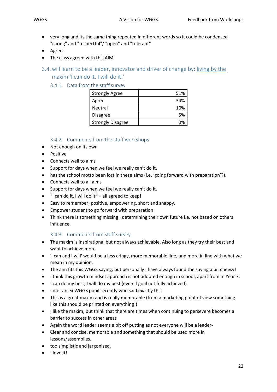- very long and its the same thing repeated in different words so it could be condensed- "caring" and "respectful"/ "open" and "tolerant"
- Agree.
- The class agreed with this AIM.
- <span id="page-22-1"></span><span id="page-22-0"></span>3.4.will learn to be a leader, innovator and driver of change by: living by the maxim 'I can do it, I will do it!'

#### 3.4.1. Data from the staff survey

| <b>Strongly Agree</b>    | 51% |
|--------------------------|-----|
| Agree                    | 34% |
| <b>Neutral</b>           | 10% |
| Disagree                 | .5% |
| <b>Strongly Disagree</b> | በ%  |

#### 3.4.2. Comments from the staff workshops

- <span id="page-22-2"></span>• Not enough on its own
- Positive
- Connects well to aims
- Support for days when we feel we really can't do it.
- has the school motto been lost in these aims (i.e. 'going forward with preparation'?).
- Connects well to all aims
- Support for days when we feel we really can't do it.
- "I can do it, I will do it" all agreed to keep!
- Easy to remember, positive, empowering, short and snappy.
- Empower student to go forward with preparation
- Think there is something missing ; determining their own future i.e. not based on others influence.

#### 3.4.3. Comments from staff survey

- <span id="page-22-3"></span>• The maxim is inspirational but not always achievable. Also long as they try their best and want to achieve more.
- 'I can and I will' would be a less cringy, more memorable line, and more in line with what we mean in my opinion.
- The aim fits this WGGS saying, but personally I have always found the saying a bit cheesy!
- I think this growth mindset approach is not adopted enough in school, apart from in Year 7.
- I can do my best, I will do my best (even if goal not fully achieved)
- I met an ex WGGS pupil recently who said exactly this.
- This is a great maxim and is really memorable (from a marketing point of view something like this should be printed on everything!)
- I like the maxim, but think that there are times when continuing to persevere becomes a barrier to success in other areas
- Again the word leader seems a bit off putting as not everyone will be a leader-
- Clear and concise, memorable and something that should be used more in lessons/assemblies.
- too simplistic and jargonised.
- I love it!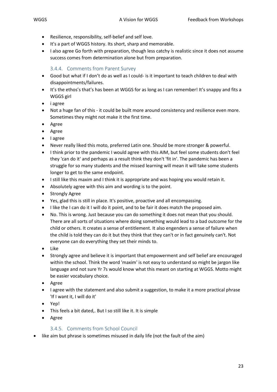- Resilience, responsibility, self-belief and self love.
- It's a part of WGGS history. Its short, sharp and memorable.
- I also agree Go forth with preparation, though less catchy is realistic since it does not assume success comes from determination alone but from preparation.

#### 3.4.4. Comments from Parent Survey

- <span id="page-23-0"></span>• Good but what if I don't do as well as I could- is it important to teach children to deal with disappointments/failures.
- It's the ethos's that's has been at WGGS for as long as I can remember! It's snappy and fits a WGGS girl
- i agree
- Not a huge fan of this it could be built more around consistency and resilience even more. Sometimes they might not make it the first time.
- Agree
- Agree
- I agree
- Never really liked this moto, preferred Latin one. Should be more stronger & powerful.
- I think prior to the pandemic I would agree with this AIM, but feel some students don't feel they 'can do it' and perhaps as a result think they don't 'fit in'. The pandemic has been a struggle for so many students and the missed learning will mean it will take some students longer to get to the same endpoint.
- I still like this maxim and I think it is appropriate and was hoping you would retain it.
- Absolutely agree with this aim and wording is to the point.
- Strongly Agree
- Yes, glad this is still in place. It's positive, proactive and all encompassing.
- I like the I can do it I will do it point, and to be fair it does match the proposed aim.
- No. This is wrong. Just because you can do something it does not mean that you should. There are all sorts of situations where doing something would lead to a bad outcome for the child or others. It creates a sense of entitlement. It also engenders a sense of failure when the child is told they can do it but they think that they can't or in fact genuinely can't. Not everyone can do everything they set their minds to.
- Like
- Strongly agree and believe it is important that empowerment and self belief are encouraged within the school. Think the word 'maxim' is not easy to understand so might be jargon like language and not sure Yr 7s would know what this meant on starting at WGGS. Motto might be easier vocabulary choice.
- Agree
- I agree with the statement and also submit a suggestion, to make it a more practical phrase 'If I want it, I will do it'
- Yep!
- This feels a bit dated,. But I so still like it. It is simple
- Agree

#### 3.4.5. Comments from School Council

<span id="page-23-1"></span>• like aim but phrase is sometimes misused in daily life (not the fault of the aim)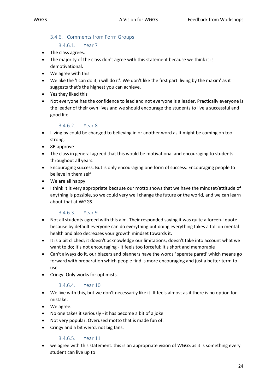#### <span id="page-24-0"></span>3.4.6. Comments from Form Groups

#### 3.4.6.1. Year 7

- <span id="page-24-1"></span>• The class agrees.
- The majority of the class don't agree with this statement because we think it is demotivational.
- We agree with this
- We like the 'I can do it, i will do it'. We don't like the first part 'living by the maxim' as it suggests that's the highest you can achieve.
- Yes they liked this
- Not everyone has the confidence to lead and not everyone is a leader. Practically everyone is the leader of their own lives and we should encourage the students to live a successful and good life

#### 3.4.6.2. Year 8

- <span id="page-24-2"></span>• Living by could be changed to believing in or another word as it might be coming on too strong.
- 8B approve!
- The class in general agreed that this would be motivational and encouraging to students throughout all years.
- Encouraging success. But is only encouraging one form of success. Encouraging people to believe in them self
- We are all happy
- I think it is very appropriate because our motto shows that we have the mindset/attitude of anything is possible, so we could very well change the future or the world, and we can learn about that at WGGS.

#### 3.4.6.3. Year 9

- <span id="page-24-3"></span>• Not all students agreed with this aim. Their responded saying it was quite a forceful quote because by default everyone can do everything but doing everything takes a toll on mental health and also decreases your growth mindset towards it.
- It is a bit cliched; it doesn't acknowledge our limitations; doesn't take into account what we want to do; It's not encouraging - it feels too forceful; It's short and memorable
- Can't always do it, our blazers and planners have the words ' sperate parati' which means go forward with preparation which people find is more encouraging and just a better term to use.
- Cringy. Only works for optimists.

#### 3.4.6.4. Year 10

- <span id="page-24-4"></span>• We live with this, but we don't necessarily like it. It feels almost as if there is no option for mistake.
- We agree.
- No one takes it seriously it has become a bit of a joke
- Not very popular. Overused motto that is made fun of.
- Cringy and a bit weird, not big fans.

### 3.4.6.5. Year 11

<span id="page-24-5"></span>we agree with this statement. this is an appropriate vision of WGGS as it is something every student can live up to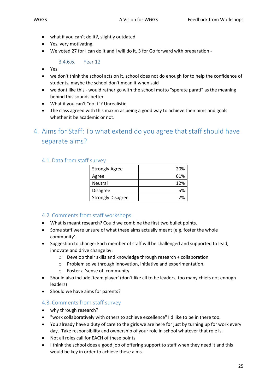- what if you can't do it?, slightly outdated
- Yes, very motivating.
- We voted 27 for I can do it and I will do it. 3 for Go forward with preparation -

3.4.6.6. Year 12

- <span id="page-25-0"></span>• Yes
- we don't think the school acts on it, school does not do enough for to help the confidence of students, maybe the school don't mean it when said
- we dont like this would rather go with the school motto "sperate parati" as the meaning behind this sounds better
- What if you can't "do it"? Unrealistic.
- The class agreed with this maxim as being a good way to achieve their aims and goals whether it be academic or not.
- <span id="page-25-1"></span>4. Aims for Staff: To what extend do you agree that staff should have separate aims?

### <span id="page-25-2"></span>4.1. Data from staff survey

| <b>Strongly Agree</b>    | 20% |
|--------------------------|-----|
| Agree                    | 61% |
| <b>Neutral</b>           | 12% |
| <b>Disagree</b>          | 5%  |
| <b>Strongly Disagree</b> | 2%  |

### <span id="page-25-3"></span>4.2. Comments from staff workshops

- What is meant research? Could we combine the first two bullet points.
- Some staff were unsure of what these aims actually meant (e.g. foster the whole community'.
- Suggestion to change: Each member of staff will be challenged and supported to lead, innovate and drive change by:
	- o Develop their skills and knowledge through research + collaboration
	- o Problem solve through innovation, initiative and experimentation.
	- o Foster a 'sense of' community
- Should also include 'team player' (don't like all to be leaders, too many chiefs not enough leaders)
- Should we have aims for parents?

#### <span id="page-25-4"></span>4.3. Comments from staff survey

- why through research?
- "work collaboratively with others to achieve excellence" I'd like to be in there too.
- You already have a duty of care to the girls we are here for just by turning up for work every day. Take responsibility and ownership of your role in school whatever that role is.
- Not all roles call for EACH of these points
- I think the school does a good job of offering support to staff when they need it and this would be key in order to achieve these aims.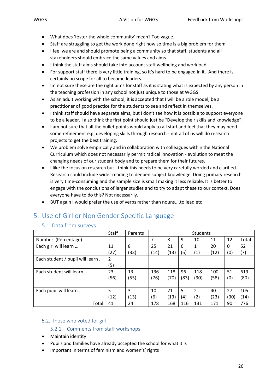- What does 'foster the whole community' mean? Too vague.
- Staff are struggling to get the work done right now so time is a big problem for them
- I feel we are and should promote being a community so that staff, students and all stakeholders should embrace the same values and aims
- I think the staff aims should take into account staff wellbeing and workload.
- For support staff there is very little training, so it's hard to be engaged in it. And there is certainly no scope for all to become leaders.
- Im not sure these are the right aims for staff as it is stating what is expected by any person in the teaching profession in any school not just unique to those at WGGS
- As an adult working with the school, it is accepted that I will be a role model, be a practitioner of good practice for the students to see and reflect in themselves.
- I think staff should have separate aims, but I don't see how it is possible to support everyone to be a leader. I also think the first point should just be "Develop their skills and knowledge".
- I am not sure that all the bullet points would apply to all staff and feel that they may need some refinement e.g. developing skills through research - not all of us will do research projects to get the best training.
- We problem solve empirically and in collaboration with colleagues within the National Curriculum which does not necessarily permit radical innovation - evolution to meet the changing needs of our student body and to prepare them for their futures.
- I like the focus on research but I think this needs to be very carefully worded and clarified. Research could include wider reading to deepen subject knowledge. Doing primary research is very time-consuming and the sample size is small making it less reliable. It is better to engage with the conclusions of larger studies and to try to adapt these to our context. Does everyone have to do this? Not necessarily.
- BUT again I would prefer the use of verbs rather than nouns....to lead etc

# <span id="page-26-1"></span><span id="page-26-0"></span>5. Use of Girl or Non Gender Specific Language

#### 5.1. Data from surveys

|                                 | Staff          | Parents | <b>Students</b> |      |      |                |      |     |       |
|---------------------------------|----------------|---------|-----------------|------|------|----------------|------|-----|-------|
| Number (Percentage)             |                |         | 7               | 8    | 9    | 10             | 11   | 12  | Total |
| Each girl will learn            | 11             | 8       | 25              | 21   | 6    | 1              | 20   | 0   | 52    |
|                                 | (27)           | (33)    | (14)            | (13) | (5)  | (1)            | (12) | (0) | (7)   |
| Each student / pupil will learn | $\overline{2}$ |         |                 |      |      |                |      |     |       |
|                                 | (5)            |         |                 |      |      |                |      |     |       |
| Each student will learn         | 23             | 13      | 136             | 118  | 96   | 118            | 100  | 51  | 619   |
|                                 | (56)           | (55)    | (76)            | (70) | (83) | (90)           | (58) | (0) | (80)  |
|                                 |                |         |                 |      |      |                |      |     |       |
| Each pupil will learn           | 5              | 3       | 10              | 21   | 5    | $\overline{2}$ | 40   | 27  | 105   |
|                                 | (12)           | (13)    | (6)             | (13) | (4)  | (2)            | (23) | 30) | (14)  |
| Total                           | 41             | 24      | 178             | 168  | 116  | 131            | 171  | 90  | 776   |

#### <span id="page-26-3"></span><span id="page-26-2"></span>5.2. Those who voted for girl.

#### 5.2.1. Comments from staff workshops

- Maintain identity
- Pupils and families have already accepted the school for what it is
- Important in terms of feminism and women's' rights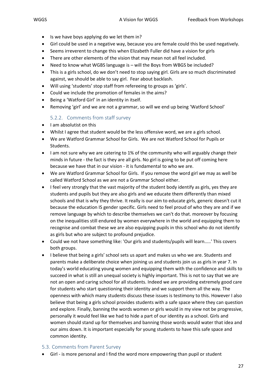- Is we have boys applying do we let them in?
- Girl could be used in a negative way, because you are female could this be used negatively.
- Seems irreverent to change this when Elizabeth Fuller did have a vision for girls
- There are other elements of the vision that may mean not all feel included.
- Need to know what WGBS language is will the Boys from WBGS be included?
- This is a girls school, do we don't need to stop saying girl. Girls are so much discriminated against, we should be able to say girl. Fear about backlash.
- Will using 'students' stop staff from refereeing to groups as 'girls'.
- Could we include the promotion of females in the aims?
- Being a 'Watford Girl' in an identity in itself.
- Removing 'girl' and we are not a grammar, so will we end up being 'Watford School'

#### 5.2.2. Comments from staff survey

- <span id="page-27-0"></span>• I am absolutist on this
- Whilst I agree that student would be the less offensive word, we are a girls school.
- We are Watford Grammar School for Girls. We are not Watford School for Pupils or Students.
- I am not sure why we are catering to 1% of the community who will arguably change their minds in future - the fact is they are all girls. No girl is going to be put off coming here because we have that in our vision - it is fundamental to who we are.
- We are Watford Grammar School for Girls. If you remove the word girl we may as well be called Watford School as we are not a Grammar School either.
- I feel very strongly that the vast majority of the student body identify as girls, yes they are students and pupils but they are also girls and we educate them differently than mixed schools and that is why they thrive. It really is our aim to educate girls, generic doesn't cut it because the education IS gender specific. Girls need to feel proud of who they are and if we remove language by which to describe themselves we can't do that. moreover by focusing on the inequalities still endured by women everywhere in the world and equipping them to recognise and combat these we are also equipping pupils in this school who do not identify as girls but who are subject to profound prejudice.
- Could we not have something like: 'Our girls and students/pupils will learn.....' This covers both groups.
- I believe that being a girls' school sets us apart and makes us who we are. Students and parents make a deliberate choice when joining us and students join us as girls in year 7. In today's world educating young women and equipping them with the confidence and skills to succeed in what is still an unequal society is highly important. This is not to say that we are not an open and caring school for all students. Indeed we are providing extremely good care for students who start questioning their identity and we support them all the way. The openness with which many students discuss these issues is testimony to this. However I also believe that being a girls school provides students with a safe space where they can question and explore. Finally, banning the words women or girls would in my view not be progressive, personally it would feel like we had to hide a part of our identity as a school. Girls and women should stand up for themselves and banning those words would water that idea and our aims down. It is important especially for young students to have this safe space and common identity.

#### <span id="page-27-1"></span>5.3. Comments from Parent Survey

• Girl - is more personal and I find the word more empowering than pupil or student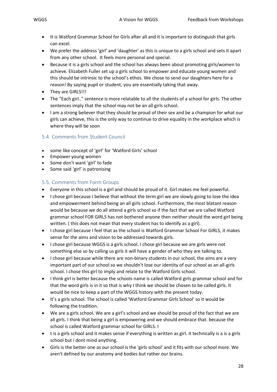- It is Watford Grammar School for Girls after all and it is important to distinguish that girls can excel.
- We prefer the address 'girl' and 'daughter' as this is unique to a girls school and sets it apart from any other school. It feels more personal and special.
- Because it is a girls school and the school has always been about promoting girls/women to achieve. Elizabeth Fuller set up a girls school to empower and educate young women and this should be intrinsic to the school's ethos. We chose to send our daughters here for a reason! By saying pupil or student, you are essentially taking that away.
- They are GIRLS!!!
- The "Each girl.." sentence is more relatable to all the students of a school for girls. The other sentences imply that the school may not be an all girls school.
- I am a strong believer that they should be proud of their sex and be a champion for what our girls can achieve, this is the only way to continue to drive equality in the workplace which is where they will be soon

#### <span id="page-28-0"></span>5.4. Comments from Student Council

- some like concept of 'girl' for 'Watford Girls' school
- Empower young women
- Some don't want 'girl' to fade
- Some said 'girl' is patronising

#### <span id="page-28-1"></span>5.5. Comments from Form Groups

- Everyone in this school is a girl and should be proud of it. Girl makes me feel powerful.
- I chose girl because I believe that without the term girl we are slowly going to lose the idea and empowerment behind being an all girls school. Furthermore, the most blatant reason would be because we do all attend a girls school so if the fact that we are called Watford grammar school FOR GIRLS has not bothered anyone then neither should the word girl being written. ( this does not mean that every student has to identify as a girl).
- I chose girl because I feel that as the school is Watford Grammar School For GIRLS, it makes sense for the aims and vision to be addressed towards girls.
- I chose girl because WGGS is a girls school. I chose girl because we are girls were not something else so by calling us girls it will have a gender of who they are talking to.
- I chose girl because while there are non-binary students in our school, the aims are a very important part of our school so we shouldn't lose our identity of our school as an all-girls school. I chose this girl to imply and relate to the Watford Girls school.
- I think girl is better because the schools name is called Watford girls grammar school and for that the word girls is in it so that is why I think we should be chosen to be called girls. It would be nice to keep a part of the WGGS history with the present today.
- It's a girls school. The school is called 'Watford Grammar Girls School' so it would be following the tradition.
- We are a girls school. We are a girl's school and we should be proud of the fact that we are all girls. I think that being a girl is empowering and we should embrace that. because the school is called Watford grammar school for GIRLS. I
- t is a girls school and it makes sense if everything is written as girl. it technically is a is a girls school but i dont mind anything.
- Girls is the better one as our school is the 'girls school' and it fits with our school more. We aren't defined by our anatomy and bodies but rather our brains.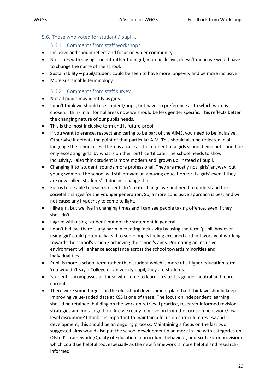#### <span id="page-29-1"></span><span id="page-29-0"></span>5.6. Those who voted for student / pupil ..

#### 5.6.1. Comments from staff workshops

- Inclusive and should reflect and focus on wider community.
- No issues with saying student rather than girl, more inclusive, doesn't mean we would have to change the name of the school.
- Sustainability pupil/student could be seen to have more longevity and be more inclusive
- More sustainable terminology

#### 5.6.2. Comments from staff survey

- <span id="page-29-2"></span>• Not all pupils may identify as girls.
- I don't think we should use student/pupil, but have no preference as to which word is chosen. I think in all formal areas now we should be less gender specific. This reflects better the changing nature of our pupils needs.
- This is the most inclusive term and is future-proof
- If you want tolerance, respect and caring to be part of the AIMS, you need to be inclusive. Otherwise it defeats the point of that particular AIM. This should also be reflected in all language the school uses. There is a case at the moment of a girls school being petitioned for only excepting 'girls' by what is on their birth certificate. The school needs to show inclusivity. I also think student is more modern and 'grown up' instead of pupil.
- Changing it to 'student' sounds more professional. They are mostly not 'girls' anyway, but young women. The school will still provide an amazing education for its 'girls' even if they are now called 'students'. It doesn't change that..
- For us to be able to teach students to 'create change' we first need to understand the societal changes for the younger generation. So, a more conclusive approach is best and will not cause any hypocrisy to come to light.
- I like girl, but we live in changing times and I can see people taking offence, even if they shouldn't.
- I agree with using 'student' but not the statement in general
- I don't believe there is any harm in creating inclusivity by using the term 'pupil' however using 'girl' could potentially lead to some pupils feeling excluded and not worthy of working towards the school's vision / achieving the school's aims. Promoting an inclusive environment will enhance acceptance across the school towards minorities and individualities.
- Pupil is more a school term rather than student which is more of a higher education term. You wouldn't say a College or University pupil, they are students.
- 'student' encompasses all those who come to learn on site. It's gender neutral and more current.
- There were some targets on the old school development plan that I think we should keep. Improving value-added data at KS5 is one of these. The focus on independent learning should be retained, building on the work on retrieval practice, research-informed revision strategies and metacognition. Are we ready to move on from the focus on behaviour/low level disruption? I think it is important to maintain a focus on curriculum review and development; this should be an ongoing process. Maintaining a focus on the last two suggested aims would also put the school development plan more in line with categories on Ofsted's framework (Quality of Education - curriculum, behaviour, and Sixth-Form provision) which could be helpful too, especially as the new framework is more helpful and researchinformed.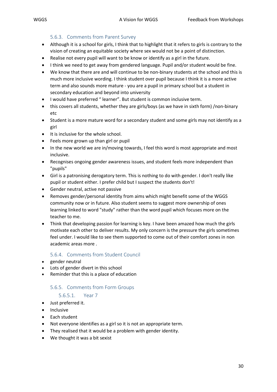#### 5.6.3. Comments from Parent Survey

- <span id="page-30-0"></span>• Although it is a school for girls, I think that to highlight that it refers to girls is contrary to the vision of creating an equitable society where sex would not be a point of distinction.
- Realise not every pupil will want to be know or identify as a girl in the future.
- I think we need to get away from gendered language. Pupil and/or student would be fine.
- We know that there are and will continue to be non-binary students at the school and this is much more inclusive wording. I think student over pupil because I think it is a more active term and also sounds more mature - you are a pupil in primary school but a student in secondary education and beyond into university
- I would have preferred " learner". But student is common inclusive term.
- this covers all students, whether they are girls/boys (as we have in sixth form) /non-binary etc
- Student is a more mature word for a secondary student and some girls may not identify as a girl
- It is inclusive for the whole school.
- Feels more grown up than girl or pupil
- In the new world we are in/moving towards, I feel this word is most appropriate and most inclusive.
- Recognises ongoing gender awareness issues, and student feels more independent than "pupils"
- Girl is a patronising derogatory term. This is nothing to do with gender. I don't really like pupil or student either. I prefer child but I suspect the students don't!
- Gender neutral, active not passive
- Removes gender/personal identity from aims which might benefit some of the WGGS community now or in future. Also student seems to suggest more ownership of ones learning linked to word "study" rather than the word pupil which focuses more on the teacher to me.
- Think that developing passion for learning is key. I have been amazed how much the girls motivate each other to deliver results. My only concern is the pressure the girls sometimes feel under. I would like to see them supported to come out of their comfort zones in non academic areas more .

#### 5.6.4. Comments from Student Council

- <span id="page-30-1"></span>gender neutral
- Lots of gender divert in this school
- <span id="page-30-2"></span>• Reminder that this is a place of education

#### 5.6.5. Comments from Form Groups

#### 5.6.5.1. Year 7

- <span id="page-30-3"></span>• Just preferred it.
- Inclusive
- Each student
- Not everyone identifies as a girl so it is not an appropriate term.
- They realised that it would be a problem with gender identity.
- We thought it was a bit sexist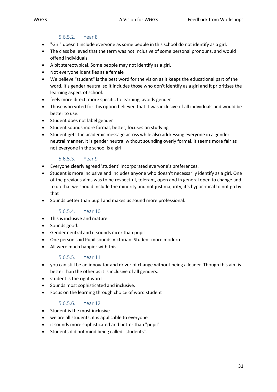#### 5.6.5.2. Year 8

- <span id="page-31-0"></span>• "Girl" doesn't include everyone as some people in this school do not identify as a girl.
- The class believed that the term was not inclusive of some personal pronouns, and would offend individuals.
- A bit stereotypical. Some people may not identify as a girl.
- Not everyone identifies as a female
- We believe "student" is the best word for the vision as it keeps the educational part of the word, it's gender neutral so it includes those who don't identify as a girl and it prioritises the learning aspect of school.
- feels more direct, more specific to learning, avoids gender
- Those who voted for this option believed that it was inclusive of all individuals and would be better to use.
- Student does not label gender
- Student sounds more formal, better, focuses on studying
- Student gets the academic message across while also addressing everyone in a gender neutral manner. It is gender neutral without sounding overly formal. it seems more fair as not everyone in the school is a girl.

#### 5.6.5.3. Year 9

- <span id="page-31-1"></span>• Everyone clearly agreed 'student' incorporated everyone's preferences.
- Student is more inclusive and includes anyone who doesn't necessarily identify as a girl. One of the previous aims was to be respectful, tolerant, open and in general open to change and to do that we should include the minority and not just majority, it's hypocritical to not go by that
- Sounds better than pupil and makes us sound more professional.

#### 5.6.5.4. Year 10

- <span id="page-31-2"></span>• This is inclusive and mature
- Sounds good.
- Gender neutral and it sounds nicer than pupil
- One person said Pupil sounds Victorian. Student more modern.
- All were much happier with this.

#### 5.6.5.5. Year 11

- <span id="page-31-3"></span>• you can still be an innovator and driver of change without being a leader. Though this aim is better than the other as it is inclusive of all genders.
- student is the right word
- Sounds most sophisticated and inclusive.
- Focus on the learning through choice of word student

#### 5.6.5.6. Year 12

- <span id="page-31-4"></span>• Student is the most inclusive
- we are all students, it is applicable to everyone
- it sounds more sophisticated and better than "pupil"
- Students did not mind being called "students".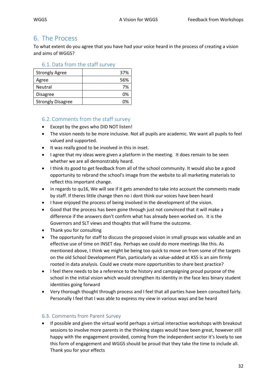## <span id="page-32-0"></span>6. The Process

To what extent do you agree that you have had your voice heard in the process of creating a vision and aims of WGGS?

<span id="page-32-1"></span>

| <b>Strongly Agree</b>    | 37% |
|--------------------------|-----|
| Agree                    | 56% |
| Neutral                  | 7%  |
| <b>Disagree</b>          | 0%  |
| <b>Strongly Disagree</b> |     |

### <span id="page-32-2"></span>6.2. Comments from the staff survey

- Except by the govs who DID NOT listen!
- The vision needs to be more inclusive. Not all pupils are academic. We want all pupils to feel valued and supported.
- It was really good to be involved in this in inset.
- I agree that my ideas were given a platform in the meeting. It does remain to be seen whether we are all demonstrably heard.
- I think its good to get feedback from all of the school community. It would also be a good opportunity to rebrand the school's image from the website to all marketing materials to reflect this important change.
- in regards to qu16, We will see if it gets amended to take into account the comments made by staff. If theres little change then no i dont think our voices have been heard
- I have enjoyed the process of being involved in the development of the vision.
- Good that the process has been gone through just not convinced that it will make a difference if the answers don't confirm what has already been worked on. It is the Governors and SLT views and thoughts that will frame the outcome.
- Thank you for consulting
- The opportunity for staff to discuss the proposed vision in small groups was valuable and an effective use of time on INSET day. Perhaps we could do more meetings like this. As mentioned above, I think we might be being too quick to move on from some of the targets on the old School Development Plan, particularly as value-added at KS5 is an aim firmly rooted in data analysis. Could we create more opportunities to share best practice?
- I feel there needs to be a reference to the history and campaigning proud purpose of the school in the initial vision which would strengthen its identity in the face less binary student identities going forward
- Very thorough thought through process and I feel that all parties have been consulted fairly. Personally I feel that I was able to express my view in various ways and be heard

### <span id="page-32-3"></span>6.3. Comments from Parent Survey

• If possible and given the virtual world perhaps a virtual interactive workshops with breakout sessions to involve more parents in the thinking stages would have been great, however still happy with the engagement provided, coming from the independent sector it's lovely to see this form of engagement and WGGS should be proud that they take the time to include all. Thank you for your effects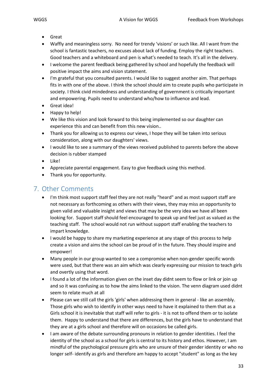- - Great
	- Waffly and meaningless sorry. No need for trendy 'visions' or such like. All I want from the school is fantastic teachers, no excuses about lack of funding. Employ the right teachers. Good teachers and a whiteboard and pen is what's needed to teach. It's all in the delivery.
	- I welcome the parent feedback being gathered by school and hopefully the feedback will positive impact the aims and vision statement.
	- I'm grateful that you consulted parents. I would like to suggest another aim. That perhaps fits in with one of the above. I think the school should aim to create pupils who participate in society. I think civid mindedness and understanding of government is critically important and empowering. Pupils need to understand who/how to influence and lead.
	- Great idea!
	- Happy to help!
	- We like this vision and look forward to this being implemented so our daughter can experience this and can benefit from this new vision..
	- Thank you for allowing us to express our views, I hope they will be taken into serious consideration, along with our daughters' views.
	- I would like to see a summary of the views received published to parents before the above decision is rubber stamped
	- Like!
	- Appreciate parental engagement. Easy to give feedback using this method.
	- Thank you for opportunity.

# <span id="page-33-0"></span>7. Other Comments

- I'm think most support staff feel they are not really "heard" and as most support staff are not necessary as forthcoming as others with their views, they may miss an opportunity to given valid and valuable insight and views that may be the very idea we have all been looking for. Support staff should feel encouraged to speak up and feel just as valued as the teaching staff. The school would not run without support staff enabling the teachers to impart knowledge.
- I would be happy to share my marketing experience at any stage of this process to help create a vision and aims the school can be proud of in the future. They should inspire and empower!
- Many people in our group wanted to see a compromise when non-gender specific words were used, but that there was an aim which was clearly expressing our mission to teach girls and overtly using that word.
- I found a lot of the information given on the inset day didnt seem to flow or link or join up and so it was confusing as to how the aims linked to the vision. The venn diagram used didnt seem to relate much at all
- Please can we still call the girls 'girls' when addressing them in general like an assembly. Those girls who wish to identify in other ways need to have it explained to them that as a Girls school it is inevitable that staff will refer to girls - it is not to offend them or to isolate them. Happy to understand that there are differences, but the girls have to understand that they are at a girls school and therefore will on occasions be called girls.
- I am aware of the debate surrounding pronouns in relation to gender identities. I feel the identity of the school as a school for girls is central to its history and ethos. However, I am mindful of the psychological pressure girls who are unsure of their gender identity or who no longer self- identify as girls and therefore am happy to accept "student" as long as the key